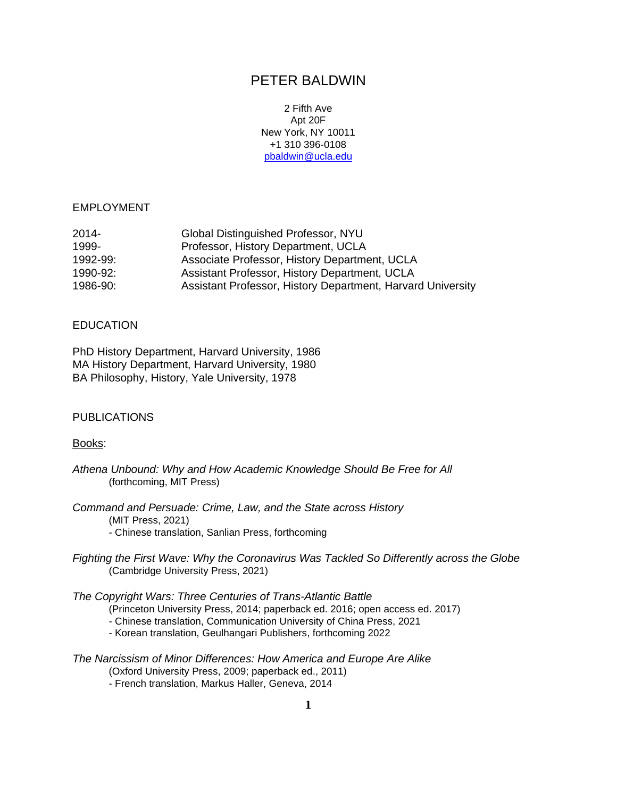# PETER BALDWIN

2 Fifth Ave Apt 20F New York, NY 10011 +1 310 396-0108 [pbaldwin@ucla.edu](mailto:pbaldwin@ucla.edu)

### EMPLOYMENT

| Global Distinguished Professor, NYU                         |
|-------------------------------------------------------------|
| Professor, History Department, UCLA                         |
| Associate Professor, History Department, UCLA               |
| Assistant Professor, History Department, UCLA               |
| Assistant Professor, History Department, Harvard University |
|                                                             |

#### **EDUCATION**

PhD History Department, Harvard University, 1986 MA History Department, Harvard University, 1980 BA Philosophy, History, Yale University, 1978

### **PUBLICATIONS**

#### Books:

- *Athena Unbound: Why and How Academic Knowledge Should Be Free for All* (forthcoming, MIT Press)
- *Command and Persuade: Crime, Law, and the State across History* (MIT Press, 2021) - Chinese translation, Sanlian Press, forthcoming
- *Fighting the First Wave: Why the Coronavirus Was Tackled So Differently across the Globe* (Cambridge University Press, 2021)

*The Copyright Wars: Three Centuries of Trans-Atlantic Battle*

- (Princeton University Press, 2014; paperback ed. 2016; open access ed. 2017)
- Chinese translation, Communication University of China Press, 2021
- Korean translation, Geulhangari Publishers, forthcoming 2022

*The Narcissism of Minor Differences: How America and Europe Are Alike* (Oxford University Press, 2009; paperback ed., 2011)

- French translation, Markus Haller, Geneva, 2014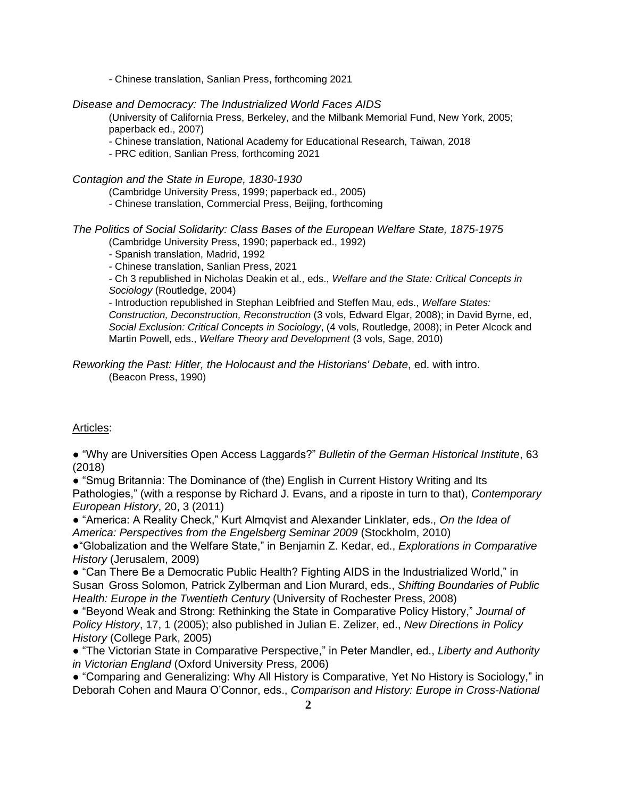- Chinese translation, Sanlian Press, forthcoming 2021

### *Disease and Democracy: The Industrialized World Faces AIDS*

(University of California Press, Berkeley, and the Milbank Memorial Fund, New York, 2005; paperback ed., 2007)

- Chinese translation, National Academy for Educational Research, Taiwan, 2018
- PRC edition, Sanlian Press, forthcoming 2021

#### *Contagion and the State in Europe, 1830-1930*

- (Cambridge University Press, 1999; paperback ed., 2005)
- Chinese translation, Commercial Press, Beijing, forthcoming

### *The Politics of Social Solidarity: Class Bases of the European Welfare State, 1875-1975*

(Cambridge University Press, 1990; paperback ed., 1992)

- Spanish translation, Madrid, 1992
- Chinese translation, Sanlian Press, 2021

- Ch 3 republished in Nicholas Deakin et al., eds., *Welfare and the State: Critical Concepts in Sociology* (Routledge, 2004)

- Introduction republished in Stephan Leibfried and Steffen Mau, eds., *Welfare States:*

*Construction, Deconstruction, Reconstruction* (3 vols, Edward Elgar, 2008); in David Byrne, ed, *Social Exclusion: Critical Concepts in Sociology*, (4 vols, Routledge, 2008); in Peter Alcock and Martin Powell, eds., *Welfare Theory and Development* (3 vols, Sage, 2010)

### *Reworking the Past: Hitler, the Holocaust and the Historians' Debate*, ed. with intro. (Beacon Press, 1990)

# Articles:

● "Why are Universities Open Access Laggards?" *Bulletin of the German Historical Institute*, 63 (2018)

● "Smug Britannia: The Dominance of (the) English in Current History Writing and Its Pathologies," (with a response by Richard J. Evans, and a riposte in turn to that), *Contemporary European History*, 20, 3 (2011)

● "America: A Reality Check," Kurt Almqvist and Alexander Linklater, eds., *On the Idea of America: Perspectives from the Engelsberg Seminar 2009* (Stockholm, 2010)

●"Globalization and the Welfare State," in Benjamin Z. Kedar, ed., *Explorations in Comparative History* (Jerusalem, 2009)

● "Can There Be a Democratic Public Health? Fighting AIDS in the Industrialized World," in Susan Gross Solomon, Patrick Zylberman and Lion Murard, eds., *Shifting Boundaries of Public Health: Europe in the Twentieth Century* (University of Rochester Press, 2008)

● "Beyond Weak and Strong: Rethinking the State in Comparative Policy History," *Journal of Policy History*, 17, 1 (2005); also published in Julian E. Zelizer, ed., *New Directions in Policy History* (College Park, 2005)

● "The Victorian State in Comparative Perspective," in Peter Mandler, ed., *Liberty and Authority in Victorian England* (Oxford University Press, 2006)

● "Comparing and Generalizing: Why All History is Comparative, Yet No History is Sociology," in Deborah Cohen and Maura O'Connor, eds., *Comparison and History: Europe in Cross-National*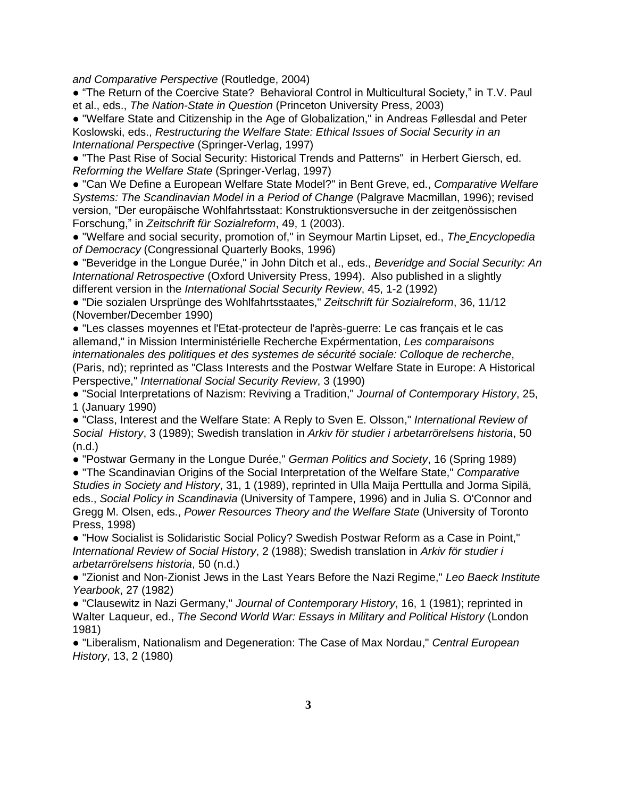*and Comparative Perspective* (Routledge, 2004)

● "The Return of the Coercive State? Behavioral Control in Multicultural Society," in T.V. Paul et al., eds., *The Nation-State in Question* (Princeton University Press, 2003)

● "Welfare State and Citizenship in the Age of Globalization," in Andreas Føllesdal and Peter Koslowski, eds., *Restructuring the Welfare State: Ethical Issues of Social Security in an International Perspective* (Springer-Verlag, 1997)

● "The Past Rise of Social Security: Historical Trends and Patterns" in Herbert Giersch, ed. *Reforming the Welfare State* (Springer-Verlag, 1997)

● "Can We Define a European Welfare State Model?" in Bent Greve, ed., *Comparative Welfare Systems: The Scandinavian Model in a Period of Change* (Palgrave Macmillan, 1996); revised version, "Der europäische Wohlfahrtsstaat: Konstruktionsversuche in der zeitgenössischen Forschung," in *Zeitschrift für Sozialreform*, 49, 1 (2003).

● "Welfare and social security, promotion of," in Seymour Martin Lipset, ed., *The Encyclopedia of Democracy* (Congressional Quarterly Books, 1996)

● "Beveridge in the Longue Durée," in John Ditch et al., eds., *Beveridge and Social Security: An International Retrospective* (Oxford University Press, 1994). Also published in a slightly different version in the *International Social Security Review*, 45, 1-2 (1992)

● "Die sozialen Ursprünge des Wohlfahrtsstaates," *Zeitschrift für Sozialreform*, 36, 11/12 (November/December 1990)

● "Les classes moyennes et l'Etat-protecteur de l'après-guerre: Le cas français et le cas allemand," in Mission Interministérielle Recherche Expérmentation, *Les comparaisons internationales des politiques et des systemes de sécurité sociale: Colloque de recherche*, (Paris, nd); reprinted as "Class Interests and the Postwar Welfare State in Europe: A Historical Perspective," *International Social Security Review*, 3 (1990)

● "Social Interpretations of Nazism: Reviving a Tradition," *Journal of Contemporary History*, 25, 1 (January 1990)

● "Class, Interest and the Welfare State: A Reply to Sven E. Olsson," *International Review of Social History*, 3 (1989); Swedish translation in *Arkiv för studier i arbetarrörelsens historia*, 50 (n.d.)

● "Postwar Germany in the Longue Durée," *German Politics and Society*, 16 (Spring 1989)

● "The Scandinavian Origins of the Social Interpretation of the Welfare State," *Comparative Studies in Society and History*, 31, 1 (1989), reprinted in Ulla Maija Perttulla and Jorma Sipilä, eds., *Social Policy in Scandinavia* (University of Tampere, 1996) and in Julia S. O'Connor and Gregg M. Olsen, eds., *Power Resources Theory and the Welfare State* (University of Toronto Press, 1998)

● "How Socialist is Solidaristic Social Policy? Swedish Postwar Reform as a Case in Point," *International Review of Social History*, 2 (1988); Swedish translation in *Arkiv för studier i arbetarrörelsens historia*, 50 (n.d.)

● "Zionist and Non-Zionist Jews in the Last Years Before the Nazi Regime," *Leo Baeck Institute Yearbook*, 27 (1982)

● "Clausewitz in Nazi Germany," *Journal of Contemporary History*, 16, 1 (1981); reprinted in Walter Laqueur, ed., *The Second World War: Essays in Military and Political History* (London 1981)

● "Liberalism, Nationalism and Degeneration: The Case of Max Nordau," *Central European History*, 13, 2 (1980)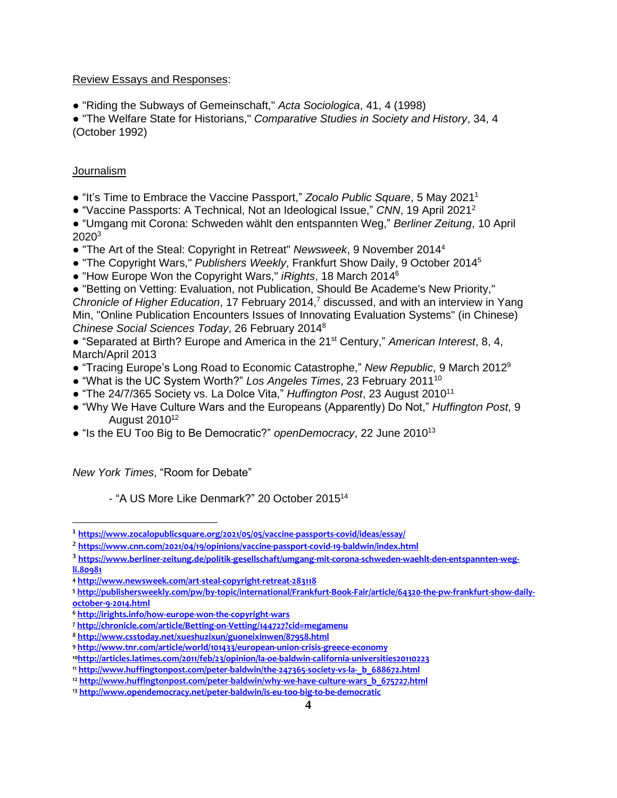### Review Essays and Responses:

● "Riding the Subways of Gemeinschaft," *Acta Sociologica*, 41, 4 (1998)

● "The Welfare State for Historians," *Comparative Studies in Society and History*, 34, 4 (October 1992)

# Journalism

- "It's Time to Embrace the Vaccine Passport," *Zocalo Public Square*, 5 May 2021<sup>1</sup>
- "Vaccine Passports: A Technical, Not an Ideological Issue," *CNN*, 19 April 2021<sup>2</sup>

● "Umgang mit Corona: Schweden wählt den entspannten Weg," *Berliner Zeitung*, 10 April 2020<sup>3</sup>

- "The Art of the Steal: Copyright in Retreat" *Newsweek*, 9 November 2014<sup>4</sup>
- "The Copyright Wars," *Publishers Weekly*, Frankfurt Show Daily, 9 October 2014<sup>5</sup>
- "How Europe Won the Copyright Wars," *iRights*, 18 March 2014<sup>6</sup>

● "Betting on Vetting: Evaluation, not Publication, Should Be Academe's New Priority," *Chronicle of Higher Education*, 17 February 2014, <sup>7</sup> discussed, and with an interview in Yang Min, "Online Publication Encounters Issues of Innovating Evaluation Systems" (in Chinese) *Chinese Social Sciences Today*, 26 February 2014<sup>8</sup>

● "Separated at Birth? Europe and America in the 21st Century," *American Interest*, 8, 4, March/April 2013

- "Tracing Europe's Long Road to Economic Catastrophe," *New Republic*, 9 March 2012 9
- "What is the UC System Worth?" *Los Angeles Times*, 23 February 2011<sup>10</sup>
- "The 24/7/365 Society vs. La Dolce Vita," *Huffington Post*, 23 August 2010<sup>11</sup>
- "Why We Have Culture Wars and the Europeans (Apparently) Do Not," *Huffington Post*, 9 August 2010<sup>12</sup>
- "Is the EU Too Big to Be Democratic?" *openDemocracy*, 22 June 2010<sup>13</sup>

*New York Times*, "Room for Debate"

- "A US More Like Denmark?" 20 October 2015<sup>14</sup>

**<sup>1</sup> <https://www.zocalopublicsquare.org/2021/05/05/vaccine-passports-covid/ideas/essay/>**

**<sup>2</sup> <https://www.cnn.com/2021/04/19/opinions/vaccine-passport-covid-19-baldwin/index.html>**

**<sup>3</sup> [https://www.berliner-zeitung.de/politik-gesellschaft/umgang-mit-corona-schweden-waehlt-den-entspannten-weg](https://www.berliner-zeitung.de/politik-gesellschaft/umgang-mit-corona-schweden-waehlt-den-entspannten-weg-li.80981)[li.80981](https://www.berliner-zeitung.de/politik-gesellschaft/umgang-mit-corona-schweden-waehlt-den-entspannten-weg-li.80981)**

**<sup>4</sup> <http://www.newsweek.com/art-steal-copyright-retreat-283118>**

**<sup>5</sup> [http://publishersweekly.com/pw/by-topic/international/Frankfurt-Book-Fair/article/64320-the-pw-frankfurt-show-daily](http://publishersweekly.com/pw/by-topic/international/Frankfurt-Book-Fair/article/64320-the-pw-frankfurt-show-daily-october-9-2014.html)[october-9-2014.html](http://publishersweekly.com/pw/by-topic/international/Frankfurt-Book-Fair/article/64320-the-pw-frankfurt-show-daily-october-9-2014.html)**

**<sup>6</sup> <http://irights.info/how-europe-won-the-copyright-wars>**

**<sup>7</sup> <http://chronicle.com/article/Betting-on-Vetting/144727?cid=megamenu>**

**<sup>8</sup> <http://www.csstoday.net/xueshuzixun/guoneixinwen/87958.html>**

**<sup>9</sup> <http://www.tnr.com/article/world/101433/european-union-crisis-greece-economy>**

**<sup>10</sup><http://articles.latimes.com/2011/feb/23/opinion/la-oe-baldwin-california-universities20110223>**

**<sup>11</sup> [http://www.huffingtonpost.com/peter-baldwin/the-247365-society-vs-la-\\_b\\_688672.html](http://www.huffingtonpost.com/peter-baldwin/the-247365-society-vs-la-_b_688672.html)**

**<sup>12</sup> [http://www.huffingtonpost.com/peter-baldwin/why-we-have-culture-wars\\_b\\_675727.html](http://www.huffingtonpost.com/peter-baldwin/why-we-have-culture-wars_b_675727.html)**

**<sup>13</sup> <http://www.opendemocracy.net/peter-baldwin/is-eu-too-big-to-be-democratic>**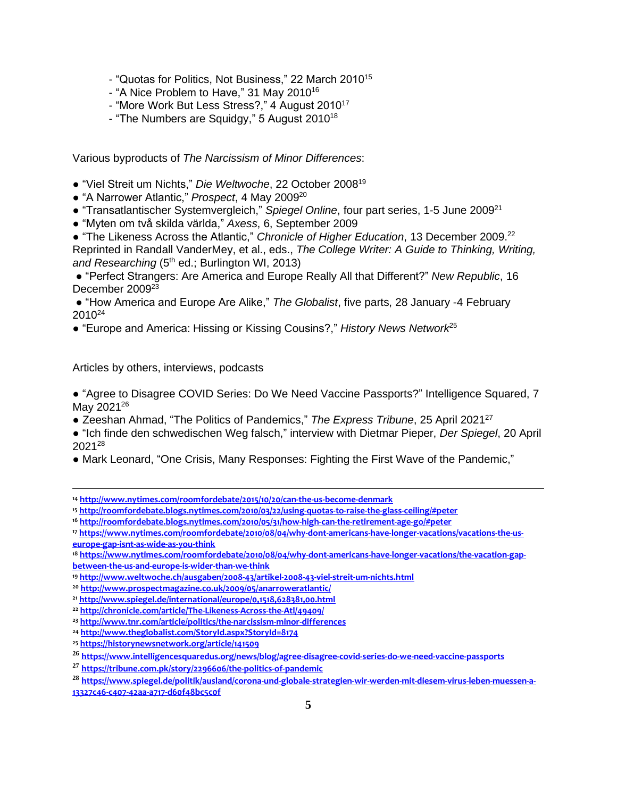- "Quotas for Politics, Not Business," 22 March 2010<sup>15</sup>
- "A Nice Problem to Have," 31 May 2010<sup>16</sup>
- "More Work But Less Stress?," 4 August 2010<sup>17</sup>
- "The Numbers are Squidgy," 5 August 2010<sup>18</sup>

Various byproducts of *The Narcissism of Minor Differences*:

- "Viel Streit um Nichts," *Die Weltwoche*, 22 October 2008<sup>19</sup>
- "A Narrower Atlantic," *Prospect*, 4 May 2009 20
- "Transatlantischer Systemvergleich," Spiegel Online, four part series, 1-5 June 2009<sup>21</sup>
- "Myten om två skilda världa," *Axess*, 6, September 2009

● "The Likeness Across the Atlantic," *Chronicle of Higher Education*, 13 December 2009. 22 Reprinted in Randall VanderMey, et al., eds., *The College Writer: A Guide to Thinking, Writing,*  and Researching (5<sup>th</sup> ed.; Burlington WI, 2013)

● "Perfect Strangers: Are America and Europe Really All that Different?" *New Republic*, 16 December 2009<sup>23</sup>

● "How America and Europe Are Alike," *The Globalist*, five parts, 28 January -4 February  $2010^{24}$ 

● "Europe and America: Hissing or Kissing Cousins?," *History News Network*<sup>25</sup>

Articles by others, interviews, podcasts

● "Agree to Disagree COVID Series: Do We Need Vaccine Passports?" Intelligence Squared, 7 May 2021<sup>26</sup>

- Zeeshan Ahmad, "The Politics of Pandemics," *The Express Tribune*, 25 April 2021<sup>27</sup>
- "Ich finde den schwedischen Weg falsch," interview with Dietmar Pieper, *Der Spiegel*, 20 April 2021<sup>28</sup>
- Mark Leonard, "One Crisis, Many Responses: Fighting the First Wave of the Pandemic,"

- **<sup>15</sup> <http://roomfordebate.blogs.nytimes.com/2010/03/22/using-quotas-to-raise-the-glass-ceiling/#peter>**
- **<sup>16</sup> <http://roomfordebate.blogs.nytimes.com/2010/05/31/how-high-can-the-retirement-age-go/#peter>**

**<sup>14</sup> <http://www.nytimes.com/roomfordebate/2015/10/20/can-the-us-become-denmark>**

**<sup>17</sup> [https://www.nytimes.com/roomfordebate/2010/08/04/why-dont-americans-have-longer-vacations/vacations-the-us](https://www.nytimes.com/roomfordebate/2010/08/04/why-dont-americans-have-longer-vacations/vacations-the-us-europe-gap-isnt-as-wide-as-you-think)[europe-gap-isnt-as-wide-as-you-think](https://www.nytimes.com/roomfordebate/2010/08/04/why-dont-americans-have-longer-vacations/vacations-the-us-europe-gap-isnt-as-wide-as-you-think)**

**<sup>18</sup> [https://www.nytimes.com/roomfordebate/2010/08/04/why-dont-americans-have-longer-vacations/the-vacation-gap](https://www.nytimes.com/roomfordebate/2010/08/04/why-dont-americans-have-longer-vacations/the-vacation-gap-between-the-us-and-europe-is-wider-than-we-think)[between-the-us-and-europe-is-wider-than-we-think](https://www.nytimes.com/roomfordebate/2010/08/04/why-dont-americans-have-longer-vacations/the-vacation-gap-between-the-us-and-europe-is-wider-than-we-think)**

**<sup>19</sup> <http://www.weltwoche.ch/ausgaben/2008-43/artikel-2008-43-viel-streit-um-nichts.html>**

**<sup>20</sup> <http://www.prospectmagazine.co.uk/2009/05/anarroweratlantic/>**

**<sup>21</sup> <http://www.spiegel.de/international/europe/0,1518,628381,00.html>**

**<sup>22</sup> <http://chronicle.com/article/The-Likeness-Across-the-Atl/49409/>**

**<sup>23</sup> <http://www.tnr.com/article/politics/the-narcissism-minor-differences>**

**<sup>24</sup> <http://www.theglobalist.com/StoryId.aspx?StoryId=8174>**

**<sup>25</sup> <https://historynewsnetwork.org/article/141509>**

**<sup>26</sup> <https://www.intelligencesquaredus.org/news/blog/agree-disagree-covid-series-do-we-need-vaccine-passports>**

**<sup>27</sup> <https://tribune.com.pk/story/2296606/the-politics-of-pandemic>**

**<sup>28</sup> [https://www.spiegel.de/politik/ausland/corona-und-globale-strategien-wir-werden-mit-diesem-virus-leben-muessen-a-](https://www.spiegel.de/politik/ausland/corona-und-globale-strategien-wir-werden-mit-diesem-virus-leben-muessen-a-13327c46-c407-42aa-a717-d60f48bc5c0f)[13327c46-c407-42aa-a717-d60f48bc5c0f](https://www.spiegel.de/politik/ausland/corona-und-globale-strategien-wir-werden-mit-diesem-virus-leben-muessen-a-13327c46-c407-42aa-a717-d60f48bc5c0f)**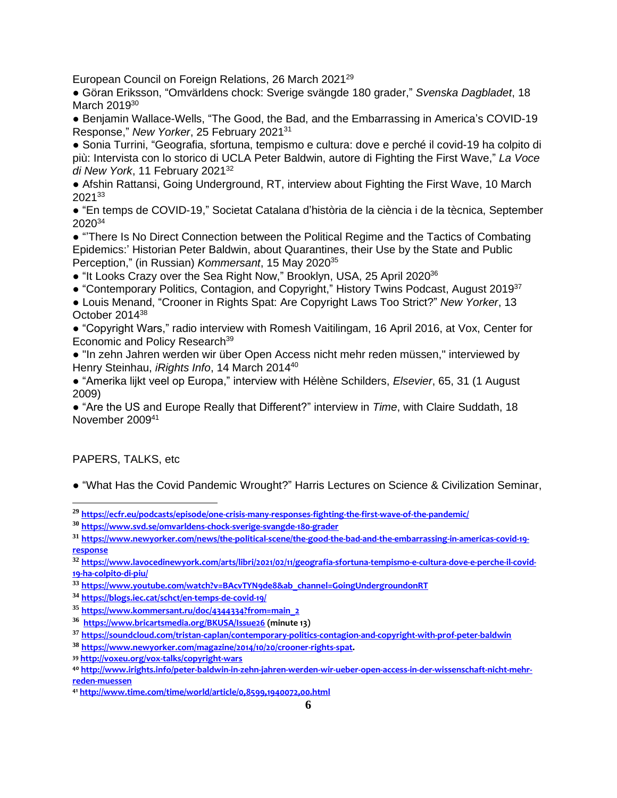European Council on Foreign Relations, 26 March 2021<sup>29</sup>

● Göran Eriksson, "Omvärldens chock: Sverige svängde 180 grader," *Svenska Dagbladet*, 18 March 2019<sup>30</sup>

● Benjamin Wallace-Wells, "The Good, the Bad, and the Embarrassing in America's COVID-19 Response," *New Yorker*, 25 February 2021<sup>31</sup>

● Sonia Turrini, "Geografia, sfortuna, tempismo e cultura: dove e perché il covid-19 ha colpito di più: Intervista con lo storico di UCLA Peter Baldwin, autore di Fighting the First Wave," *La Voce di New York*, 11 February 2021<sup>32</sup>

● Afshin Rattansi, Going Underground, RT, interview about Fighting the First Wave, 10 March  $2021^{33}$ 

● "En temps de COVID-19," Societat Catalana d'història de la ciència i de la tècnica, September 2020<sup>34</sup>

● "There Is No Direct Connection between the Political Regime and the Tactics of Combating Epidemics:' Historian Peter Baldwin, about Quarantines, their Use by the State and Public Perception," (in Russian) *Kommersant*, 15 May 2020<sup>35</sup>

• "It Looks Crazy over the Sea Right Now," Brooklyn, USA, 25 April 2020<sup>36</sup>

● "Contemporary Politics, Contagion, and Copyright," History Twins Podcast, August 2019<sup>37</sup>

● Louis Menand, "Crooner in Rights Spat: Are Copyright Laws Too Strict?" *New Yorker*, 13 October 2014<sup>38</sup>

● "Copyright Wars," radio interview with Romesh Vaitilingam, 16 April 2016, at Vox, Center for Economic and Policy Research<sup>39</sup>

● "In zehn Jahren werden wir über Open Access nicht mehr reden müssen," interviewed by Henry Steinhau, *iRights Info*, 14 March 2014<sup>40</sup>

● "Amerika lijkt veel op Europa," interview with Hélène Schilders, *Elsevier*, 65, 31 (1 August 2009)

● "Are the US and Europe Really that Different?" interview in *Time*, with Claire Suddath, 18 November 2009<sup>41</sup>

# PAPERS, TALKS, etc

● "What Has the Covid Pandemic Wrought?" Harris Lectures on Science & Civilization Seminar,

**<sup>32</sup> [https://www.lavocedinewyork.com/arts/libri/2021/02/11/geografia-sfortuna-tempismo-e-cultura-dove-e-perche-il-covid-](https://www.lavocedinewyork.com/arts/libri/2021/02/11/geografia-sfortuna-tempismo-e-cultura-dove-e-perche-il-covid-19-ha-colpito-di-piu/)[19-ha-colpito-di-piu/](https://www.lavocedinewyork.com/arts/libri/2021/02/11/geografia-sfortuna-tempismo-e-cultura-dove-e-perche-il-covid-19-ha-colpito-di-piu/)**

**<sup>29</sup> <https://ecfr.eu/podcasts/episode/one-crisis-many-responses-fighting-the-first-wave-of-the-pandemic/>**

**<sup>30</sup> <https://www.svd.se/omvarldens-chock-sverige-svangde-180-grader>**

**<sup>31</sup> [https://www.newyorker.com/news/the-political-scene/the-good-the-bad-and-the-embarrassing-in-americas-covid-19](https://www.newyorker.com/news/the-political-scene/the-good-the-bad-and-the-embarrassing-in-americas-covid-19-response) [response](https://www.newyorker.com/news/the-political-scene/the-good-the-bad-and-the-embarrassing-in-americas-covid-19-response)**

**<sup>33</sup> [https://www.youtube.com/watch?v=BAcvTYN9de8&ab\\_channel=GoingUndergroundonRT](https://www.youtube.com/watch?v=BAcvTYN9de8&ab_channel=GoingUndergroundonRT)**

**<sup>34</sup> <https://blogs.iec.cat/schct/en-temps-de-covid-19/>**

**<sup>35</sup> [https://www.kommersant.ru/doc/4344334?from=main\\_2](https://www.kommersant.ru/doc/4344334?from=main_2)**

**<sup>36</sup> <https://www.bricartsmedia.org/BKUSA/Issue26> (minute 13)**

**<sup>37</sup> <https://soundcloud.com/tristan-caplan/contemporary-politics-contagion-and-copyright-with-prof-peter-baldwin>**

**<sup>38</sup> [https://www.newyorker.com/magazine/2014/10/20/crooner-rights-spat.](https://www.newyorker.com/magazine/2014/10/20/crooner-rights-spat)** 

**<sup>39</sup> <http://voxeu.org/vox-talks/copyright-wars>**

**<sup>40</sup> [http://www.irights.info/peter-baldwin-in-zehn-jahren-werden-wir-ueber-open-access-in-der-wissenschaft-nicht-mehr](http://www.irights.info/peter-baldwin-in-zehn-jahren-werden-wir-ueber-open-access-in-der-wissenschaft-nicht-mehr-reden-muessen)[reden-muessen](http://www.irights.info/peter-baldwin-in-zehn-jahren-werden-wir-ueber-open-access-in-der-wissenschaft-nicht-mehr-reden-muessen)**

**<sup>41</sup> <http://www.time.com/time/world/article/0,8599,1940072,00.html>**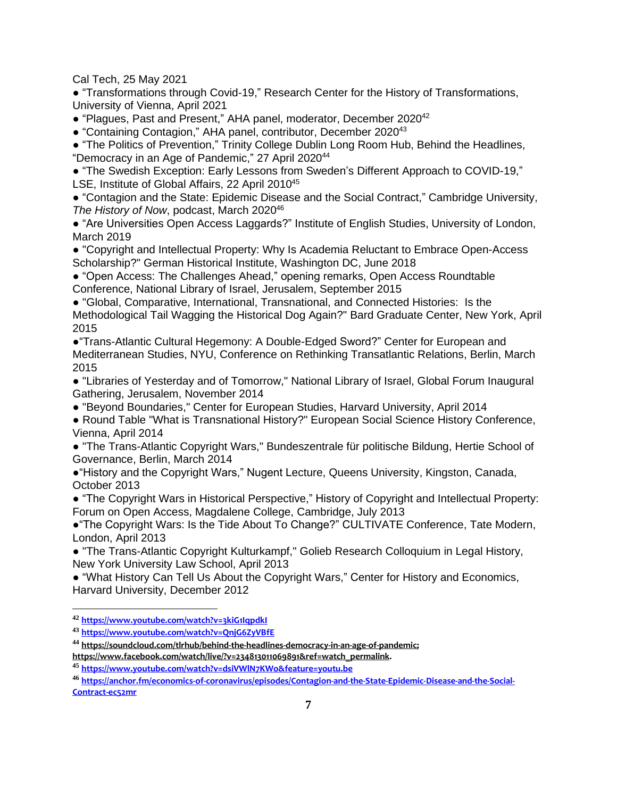Cal Tech, 25 May 2021

● "Transformations through Covid-19," Research Center for the History of Transformations, University of Vienna, April 2021

• "Plagues, Past and Present," AHA panel, moderator, December 2020<sup>42</sup>

● "Containing Contagion," AHA panel, contributor, December 2020<sup>43</sup>

● "The Politics of Prevention," Trinity College Dublin Long Room Hub, Behind the Headlines, "Democracy in an Age of Pandemic," 27 April 2020<sup>44</sup>

● "The Swedish Exception: Early Lessons from Sweden's Different Approach to COVID-19," LSE, Institute of Global Affairs, 22 April 2010<sup>45</sup>

● "Contagion and the State: Epidemic Disease and the Social Contract," Cambridge University, *The History of Now*, podcast, March 2020<sup>46</sup>

● "Are Universities Open Access Laggards?" Institute of English Studies, University of London, March 2019

● "Copyright and Intellectual Property: Why Is Academia Reluctant to Embrace Open-Access Scholarship?" German Historical Institute, Washington DC, June 2018

● "Open Access: The Challenges Ahead," opening remarks, Open Access Roundtable Conference, National Library of Israel, Jerusalem, September 2015

● "Global, Comparative, International, Transnational, and Connected Histories: Is the Methodological Tail Wagging the Historical Dog Again?" Bard Graduate Center, New York, April 2015

●"Trans-Atlantic Cultural Hegemony: A Double-Edged Sword?" Center for European and Mediterranean Studies, NYU, Conference on Rethinking Transatlantic Relations, Berlin, March 2015

● "Libraries of Yesterday and of Tomorrow," National Library of Israel, Global Forum Inaugural Gathering, Jerusalem, November 2014

● "Beyond Boundaries," Center for European Studies, Harvard University, April 2014

● Round Table "What is Transnational History?" European Social Science History Conference, Vienna, April 2014

● "The Trans-Atlantic Copyright Wars," Bundeszentrale für politische Bildung, Hertie School of Governance, Berlin, March 2014

●"History and the Copyright Wars," Nugent Lecture, Queens University, Kingston, Canada, October 2013

● "The Copyright Wars in Historical Perspective," History of Copyright and Intellectual Property: Forum on Open Access, Magdalene College, Cambridge, July 2013

●"The Copyright Wars: Is the Tide About To Change?" CULTIVATE Conference, Tate Modern, London, April 2013

● "The Trans-Atlantic Copyright Kulturkampf," Golieb Research Colloquium in Legal History, New York University Law School, April 2013

● "What History Can Tell Us About the Copyright Wars," Center for History and Economics, Harvard University, December 2012

**<sup>42</sup> <https://www.youtube.com/watch?v=3kiG1IqpdkI>**

**<sup>43</sup> <https://www.youtube.com/watch?v=QnjG6ZyVBfE>**

**<sup>44</sup> [https://soundcloud.com/tlrhub/behind-the-headlines-democracy-in-an-age-of-pandemic;](https://soundcloud.com/tlrhub/behind-the-headlines-democracy-in-an-age-of-pandemic)**

**[https://www.facebook.com/watch/live/?v=234813011069891&ref=watch\\_permalink.](https://www.facebook.com/watch/live/?v=234813011069891&ref=watch_permalink)**

**<sup>45</sup> <https://www.youtube.com/watch?v=dsiVWlN7KWo&feature=youtu.be>**

**<sup>46</sup> [https://anchor.fm/economics-of-coronavirus/episodes/Contagion-and-the-State-Epidemic-Disease-and-the-Social-](https://anchor.fm/economics-of-coronavirus/episodes/Contagion-and-the-State-Epidemic-Disease-and-the-Social-Contract-ec52mr)[Contract-ec52mr](https://anchor.fm/economics-of-coronavirus/episodes/Contagion-and-the-State-Epidemic-Disease-and-the-Social-Contract-ec52mr)**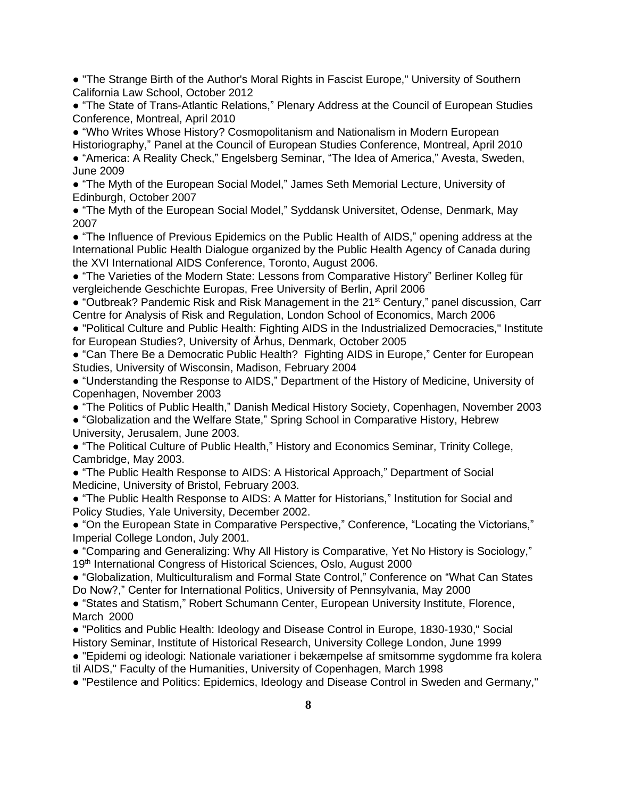● "The Strange Birth of the Author's Moral Rights in Fascist Europe," University of Southern California Law School, October 2012

● "The State of Trans-Atlantic Relations," Plenary Address at the Council of European Studies Conference, Montreal, April 2010

● "Who Writes Whose History? Cosmopolitanism and Nationalism in Modern European Historiography," Panel at the Council of European Studies Conference, Montreal, April 2010 ● "America: A Reality Check," Engelsberg Seminar, "The Idea of America," Avesta, Sweden, June 2009

● "The Myth of the European Social Model," James Seth Memorial Lecture, University of Edinburgh, October 2007

● "The Myth of the European Social Model," Syddansk Universitet, Odense, Denmark, May 2007

● "The Influence of Previous Epidemics on the Public Health of AIDS," opening address at the International Public Health Dialogue organized by the Public Health Agency of Canada during the XVI International AIDS Conference, Toronto, August 2006.

● "The Varieties of the Modern State: Lessons from Comparative History" Berliner Kolleg für vergleichende Geschichte Europas, Free University of Berlin, April 2006

• "Outbreak? Pandemic Risk and Risk Management in the 21<sup>st</sup> Century," panel discussion, Carr Centre for Analysis of Risk and Regulation, London School of Economics, March 2006

● "Political Culture and Public Health: Fighting AIDS in the Industrialized Democracies," Institute for European Studies?, University of Århus, Denmark, October 2005

● "Can There Be a Democratic Public Health? Fighting AIDS in Europe," Center for European Studies, University of Wisconsin, Madison, February 2004

● "Understanding the Response to AIDS," Department of the History of Medicine, University of Copenhagen, November 2003

● "The Politics of Public Health," Danish Medical History Society, Copenhagen, November 2003

● "Globalization and the Welfare State," Spring School in Comparative History, Hebrew University, Jerusalem, June 2003.

● "The Political Culture of Public Health," History and Economics Seminar, Trinity College, Cambridge, May 2003.

● "The Public Health Response to AIDS: A Historical Approach," Department of Social Medicine, University of Bristol, February 2003.

● "The Public Health Response to AIDS: A Matter for Historians," Institution for Social and Policy Studies, Yale University, December 2002.

● "On the European State in Comparative Perspective," Conference, "Locating the Victorians," Imperial College London, July 2001.

● "Comparing and Generalizing: Why All History is Comparative, Yet No History is Sociology," 19<sup>th</sup> International Congress of Historical Sciences, Oslo, August 2000

● "Globalization, Multiculturalism and Formal State Control," Conference on "What Can States Do Now?," Center for International Politics, University of Pennsylvania, May 2000

● "States and Statism," Robert Schumann Center, European University Institute, Florence, March 2000

● "Politics and Public Health: Ideology and Disease Control in Europe, 1830-1930," Social History Seminar, Institute of Historical Research, University College London, June 1999

● "Epidemi og ideologi: Nationale variationer i bekæmpelse af smitsomme sygdomme fra kolera til AIDS," Faculty of the Humanities, University of Copenhagen, March 1998

● "Pestilence and Politics: Epidemics, Ideology and Disease Control in Sweden and Germany,"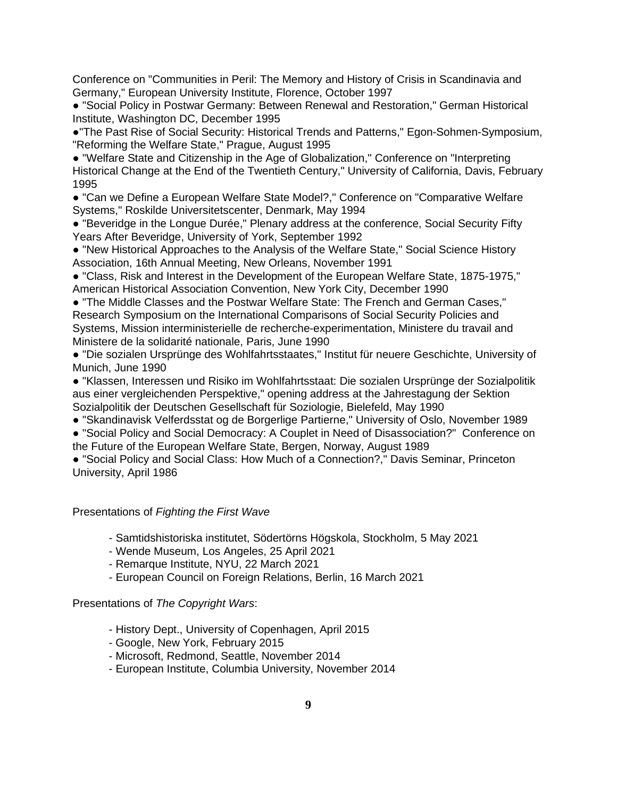Conference on "Communities in Peril: The Memory and History of Crisis in Scandinavia and Germany," European University Institute, Florence, October 1997

● "Social Policy in Postwar Germany: Between Renewal and Restoration," German Historical Institute, Washington DC, December 1995

●"The Past Rise of Social Security: Historical Trends and Patterns," Egon-Sohmen-Symposium, "Reforming the Welfare State," Prague, August 1995

● "Welfare State and Citizenship in the Age of Globalization," Conference on "Interpreting Historical Change at the End of the Twentieth Century," University of California, Davis, February 1995

● "Can we Define a European Welfare State Model?," Conference on "Comparative Welfare Systems," Roskilde Universitetscenter, Denmark, May 1994

● "Beveridge in the Longue Durée," Plenary address at the conference, Social Security Fifty Years After Beveridge, University of York, September 1992

● "New Historical Approaches to the Analysis of the Welfare State," Social Science History Association, 16th Annual Meeting, New Orleans, November 1991

● "Class, Risk and Interest in the Development of the European Welfare State, 1875-1975," American Historical Association Convention, New York City, December 1990

● "The Middle Classes and the Postwar Welfare State: The French and German Cases," Research Symposium on the International Comparisons of Social Security Policies and Systems, Mission interministerielle de recherche-experimentation, Ministere du travail and Ministere de la solidarité nationale, Paris, June 1990

● "Die sozialen Ursprünge des Wohlfahrtsstaates," Institut für neuere Geschichte, University of Munich, June 1990

● "Klassen, Interessen und Risiko im Wohlfahrtsstaat: Die sozialen Ursprünge der Sozialpolitik aus einer vergleichenden Perspektive," opening address at the Jahrestagung der Sektion Sozialpolitik der Deutschen Gesellschaft für Soziologie, Bielefeld, May 1990

● "Skandinavisk Velferdsstat og de Borgerlige Partierne," University of Oslo, November 1989

● "Social Policy and Social Democracy: A Couplet in Need of Disassociation?" Conference on the Future of the European Welfare State, Bergen, Norway, August 1989

● "Social Policy and Social Class: How Much of a Connection?," Davis Seminar, Princeton University, April 1986

Presentations of *Fighting the First Wave*

- Samtidshistoriska institutet, Södertörns Högskola, Stockholm, 5 May 2021

- Wende Museum, Los Angeles, 25 April 2021
- Remarque Institute, NYU, 22 March 2021
- European Council on Foreign Relations, Berlin, 16 March 2021

# Presentations of *The Copyright Wars*:

- History Dept., University of Copenhagen, April 2015
- Google, New York, February 2015
- Microsoft, Redmond, Seattle, November 2014
- European Institute, Columbia University, November 2014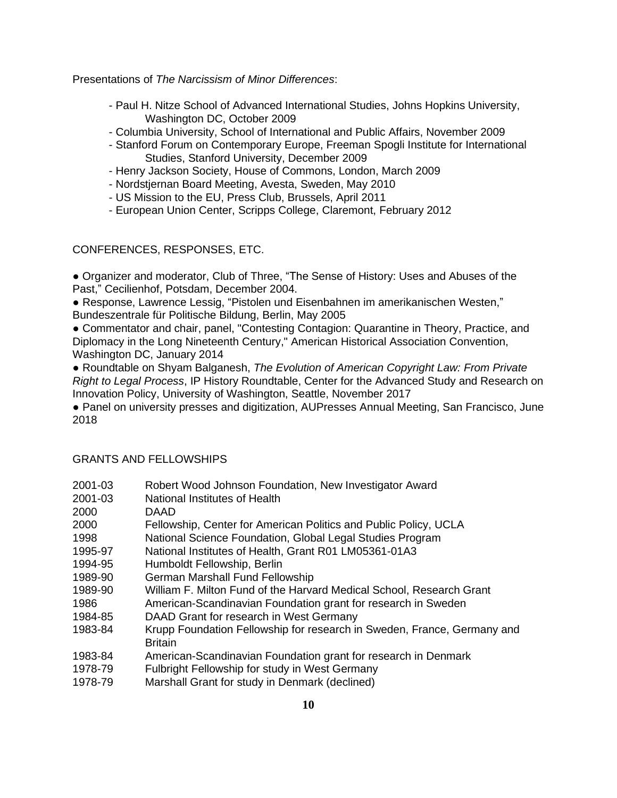Presentations of *The Narcissism of Minor Differences*:

- Paul H. Nitze School of Advanced International Studies, Johns Hopkins University, Washington DC, October 2009
- Columbia University, School of International and Public Affairs, November 2009
- Stanford Forum on Contemporary Europe, Freeman Spogli Institute for International Studies, Stanford University, December 2009
- Henry Jackson Society, House of Commons, London, March 2009
- Nordstjernan Board Meeting, Avesta, Sweden, May 2010
- US Mission to the EU, Press Club, Brussels, April 2011
- European Union Center, Scripps College, Claremont, February 2012

# CONFERENCES, RESPONSES, ETC.

● Organizer and moderator, Club of Three, "The Sense of History: Uses and Abuses of the Past," Cecilienhof, Potsdam, December 2004.

● Response, Lawrence Lessig, "Pistolen und Eisenbahnen im amerikanischen Westen," Bundeszentrale für Politische Bildung, Berlin, May 2005

● Commentator and chair, panel, "Contesting Contagion: Quarantine in Theory, Practice, and Diplomacy in the Long Nineteenth Century," American Historical Association Convention, Washington DC, January 2014

● Roundtable on Shyam Balganesh, *The Evolution of American Copyright Law: From Private Right to Legal Process*, IP History Roundtable, Center for the Advanced Study and Research on Innovation Policy, University of Washington, Seattle, November 2017

● Panel on university presses and digitization, AUPresses Annual Meeting, San Francisco, June 2018

### GRANTS AND FELLOWSHIPS

| 2001-03 | Robert Wood Johnson Foundation, New Investigator Award                                    |
|---------|-------------------------------------------------------------------------------------------|
| 2001-03 | National Institutes of Health                                                             |
| 2000    | DAAD                                                                                      |
| 2000    | Fellowship, Center for American Politics and Public Policy, UCLA                          |
| 1998    | National Science Foundation, Global Legal Studies Program                                 |
| 1995-97 | National Institutes of Health, Grant R01 LM05361-01A3                                     |
| 1994-95 | Humboldt Fellowship, Berlin                                                               |
| 1989-90 | <b>German Marshall Fund Fellowship</b>                                                    |
| 1989-90 | William F. Milton Fund of the Harvard Medical School, Research Grant                      |
| 1986    | American-Scandinavian Foundation grant for research in Sweden                             |
| 1984-85 | DAAD Grant for research in West Germany                                                   |
| 1983-84 | Krupp Foundation Fellowship for research in Sweden, France, Germany and<br><b>Britain</b> |
| 1983-84 | American-Scandinavian Foundation grant for research in Denmark                            |
| 1978-79 | Fulbright Fellowship for study in West Germany                                            |
| 1978-79 | Marshall Grant for study in Denmark (declined)                                            |
|         |                                                                                           |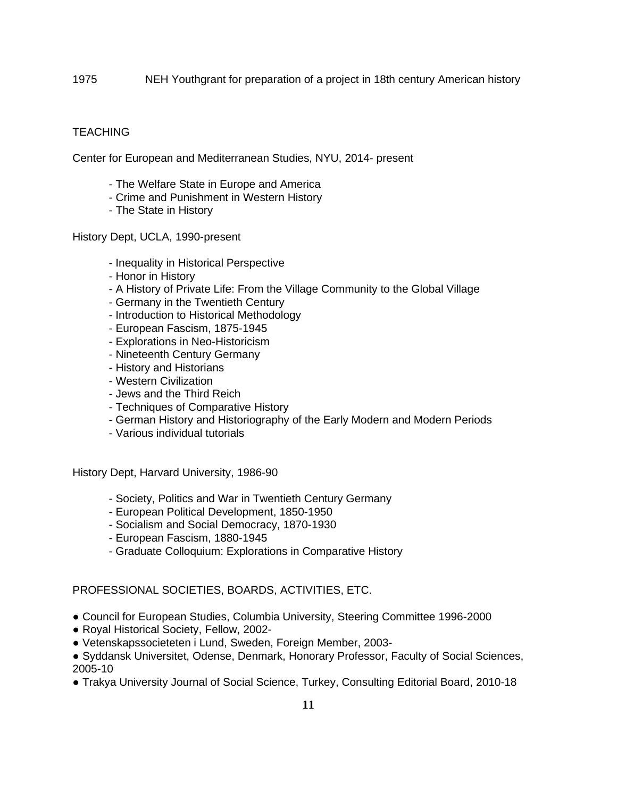1975 NEH Youthgrant for preparation of a project in 18th century American history

### **TEACHING**

Center for European and Mediterranean Studies, NYU, 2014- present

- The Welfare State in Europe and America
- Crime and Punishment in Western History
- The State in History

History Dept, UCLA, 1990-present

- Inequality in Historical Perspective
- Honor in History
- A History of Private Life: From the Village Community to the Global Village
- Germany in the Twentieth Century
- Introduction to Historical Methodology
- European Fascism, 1875-1945
- Explorations in Neo-Historicism
- Nineteenth Century Germany
- History and Historians
- Western Civilization
- Jews and the Third Reich
- Techniques of Comparative History
- German History and Historiography of the Early Modern and Modern Periods
- Various individual tutorials

History Dept, Harvard University, 1986-90

- Society, Politics and War in Twentieth Century Germany
- European Political Development, 1850-1950
- Socialism and Social Democracy, 1870-1930
- European Fascism, 1880-1945
- Graduate Colloquium: Explorations in Comparative History

### PROFESSIONAL SOCIETIES, BOARDS, ACTIVITIES, ETC.

- Council for European Studies, Columbia University, Steering Committee 1996-2000
- Royal Historical Society, Fellow, 2002-
- Vetenskapssocieteten i Lund, Sweden, Foreign Member, 2003-
- Syddansk Universitet, Odense, Denmark, Honorary Professor, Faculty of Social Sciences, 2005-10
- Trakya University Journal of Social Science, Turkey, Consulting Editorial Board, 2010-18